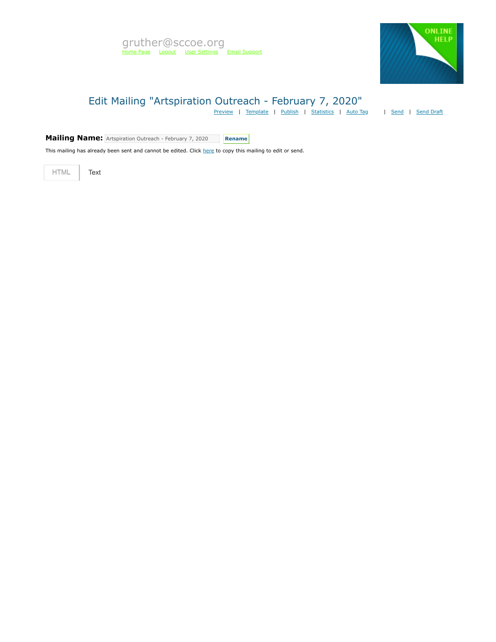

# Edit Mailing "Artspiration Outreach - February 7, 2020"

[Preview](https://mvapp.marketvolt.com/Mailing/Preview/710090) | [Template](https://mvapp.marketvolt.com/TemplatePreview.aspx?TemplateId=35366) | [Publish](https://mvapp.marketvolt.com/Mailing/Publish/710090) | [Statistics](https://mvapp.marketvolt.com/StatsMailing.aspx?MailingID=710090) | [Auto Tag](https://mvapp.marketvolt.com/AutoAssign.aspx?MailingID=710090) | [Send](https://mvapp.marketvolt.com/Mailing/Schedule/710090) | [Send Draft](https://mvapp.marketvolt.com/SendDraft.aspx?MailingID=710090)

**Mailing Name:** Artspiration Outreach - February 7, 2020 **Rename** 

This mailing has already been sent and cannot be edited. Click [here](https://mvapp.marketvolt.com/Mailing/Copy/710090) to copy this mailing to edit or send.

HTML **Text**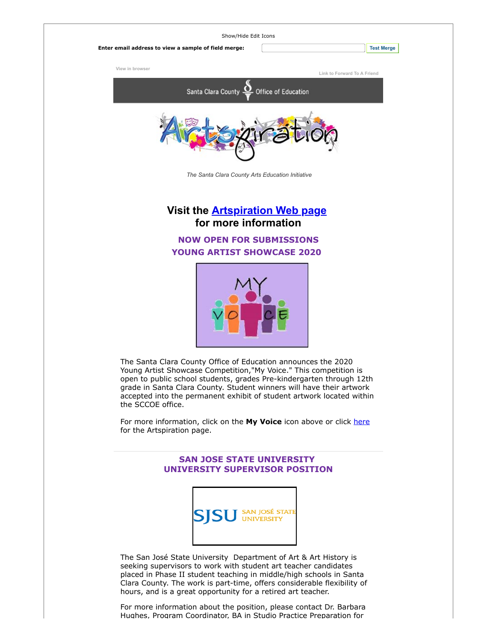| Show/Hide Edit Icons                                 |                             |
|------------------------------------------------------|-----------------------------|
| Enter email address to view a sample of field merge: | <b>Test Merge</b>           |
| View in browser                                      | Link to Forward To A Friend |
| Santa Clara County <u>Q</u> Office of Education      |                             |
|                                                      |                             |
| The Santa Clara County Arts Education Initiative     |                             |

**Visit the [Artspiration Web page](https://custapp.marketvolt.com/link/2FQxsPP8hB?CM=0&X=PREVIEW) for more information**

# **NOW OPEN FOR SUBMISSIONS YOUNG ARTIST SHOWCASE 2020**



The Santa Clara County Office of Education announces the 2020 Young Artist Showcase Competition,"My Voice." This competition is open to public school students, grades Pre-kindergarten through 12th grade in Santa Clara County. Student winners will have their artwork accepted into the permanent exhibit of student artwork located within the SCCOE office.

For more information, click on the **My Voice** icon above or click [here](https://custapp.marketvolt.com/link/abPuMDEreH?CM=0&X=PREVIEW) for the Artspiration page.

### **SAN JOSE STATE UNIVERSITY UNIVERSITY SUPERVISOR POSITION**



The San José State University Department of Art & Art History is seeking supervisors to work with student art teacher candidates placed in Phase II student teaching in middle/high schools in Santa Clara County. The work is part-time, offers considerable flexibility of hours, and is a great opportunity for a retired art teacher.

For more information about the position, please contact Dr. Barbara Hughes, Program Coordinator, BA in Studio Practice Preparation for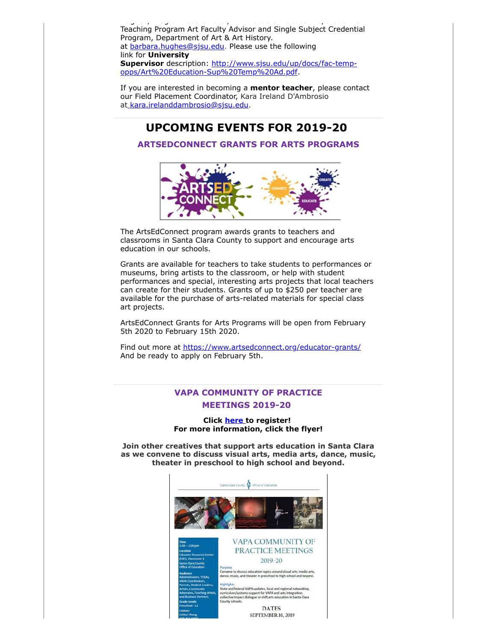ug es, og a Coo d'Alexandro , Stud o act ce epa ato act ce epa ato d'Alexandro , Stud o act ce epa ato o o o o Teaching Program Art Faculty Advisor and Single Subject Credential Program, Department of Art & Art History. at [barbara.hughes@sjsu.edu](mailto:barbara.hughes@sjsu.edu). Please use the following link for **University Supervisor** [description: http://www.sjsu.edu/up/docs/fac-temp](https://custapp.marketvolt.com/link/4az3L4iZD8?CM=0&X=PREVIEW)opps/Art%20Education-Sup%20Temp%20Ad.pdf.

If you are interested in becoming a **mentor teacher**, please contact our Field Placement Coordinator, Kara Ireland D'Ambrosio at [kara.irelanddambrosio@sjsu.edu](mailto:kara.irelanddambrosio@sjsu.edu).

# **UPCOMING EVENTS FOR 2019-20**

## **ARTSEDCONNECT GRANTS FOR ARTS PROGRAMS**



The ArtsEdConnect program awards grants to teachers and classrooms in Santa Clara County to support and encourage arts education in our schools.

Grants are available for teachers to take students to performances or museums, bring artists to the classroom, or help with student performances and special, interesting arts projects that local teachers can create for their students. Grants of up to \$250 per teacher are available for the purchase of arts-related materials for special class art projects.

ArtsEdConnect Grants for Arts Programs will be open from February 5th 2020 to February 15th 2020.

Find out more at [https://www.artsedconnect.org/educator-grants/](https://custapp.marketvolt.com/link/oCFUY9Nyuo?CM=0&X=PREVIEW) And be ready to apply on February 5th.

# **VAPA COMMUNITY OF PRACTICE MEETINGS 2019-20**

**Click [here t](https://custapp.marketvolt.com/link/Z7m5iIcmTL?CM=0&X=PREVIEW)o register! For more information, click the flyer!**

**Join other creatives that support arts education in Santa Clara as we convene to discuss visual arts, media arts, dance, music, theater in preschool to high school and beyond.**

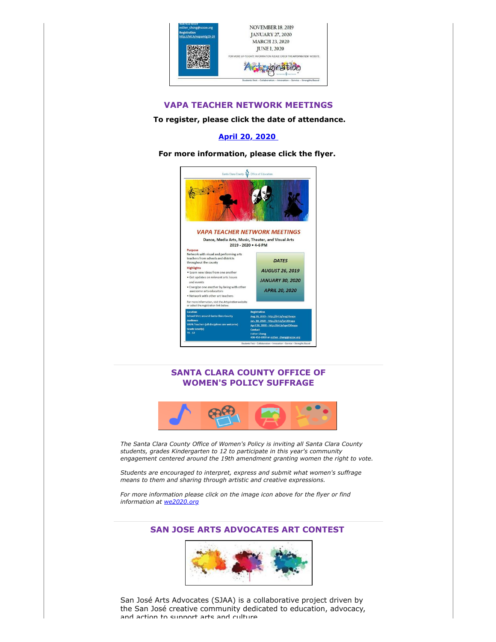

#### **VAPA TEACHER NETWORK MEETINGS**

#### **To register, please click the date of attendance.**

## **[April 20, 2020](https://custapp.marketvolt.com/link/nWGZ4bbyzA?CM=0&X=PREVIEW)**

**For more information, please click the flyer.** 



## **SANTA CLARA COUNTY OFFICE OF WOMEN'S POLICY SUFFRAGE**



*The Santa Clara County Office of Women's Policy is inviting all Santa Clara County students, grades Kindergarten to 12 to participate in this year's community engagement centered around the 19th amendment granting women the right to vote.*

*Students are encouraged to interpret, express and submit what women's suffrage means to them and sharing through artistic and creative expressions.*

*For more information please click on the image icon above for the flyer or find information at [we2020.org](https://custapp.marketvolt.com/link/pBrCeAVBRd?CM=0&X=PREVIEW)*

# **SAN JOSE ARTS ADVOCATES ART CONTEST**



San José Arts Advocates (SJAA) is a collaborative project driven by the San José creative community dedicated to education, advocacy, and action to support arts and culture